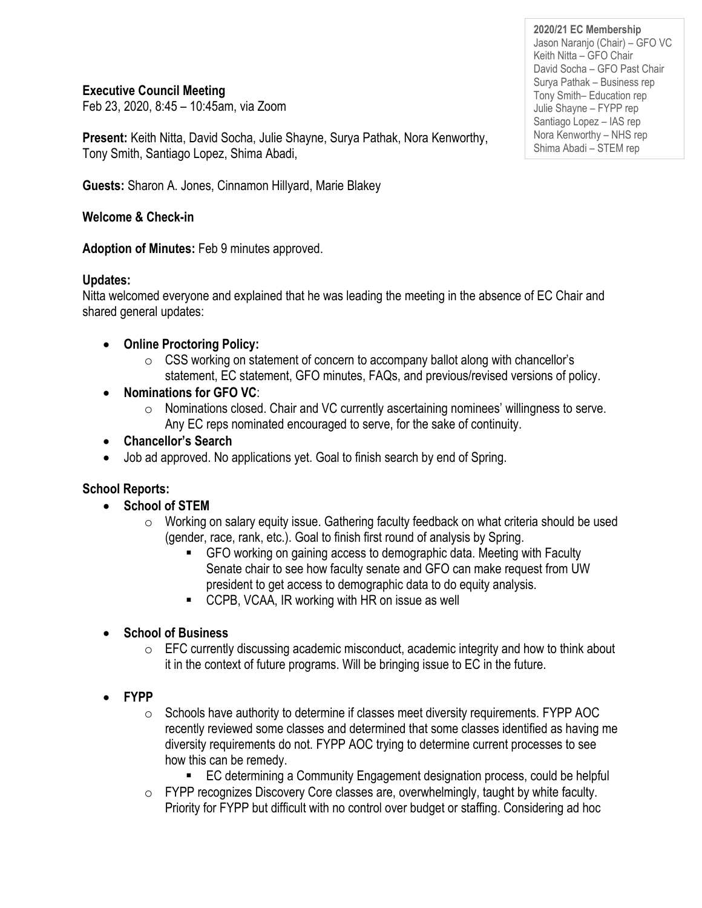**Executive Council Meeting**

Feb 23, 2020, 8:45 – 10:45am, via Zoom

**Present:** Keith Nitta, David Socha, Julie Shayne, Surya Pathak, Nora Kenworthy, Tony Smith, Santiago Lopez, Shima Abadi,

**Guests:** Sharon A. Jones, Cinnamon Hillyard, Marie Blakey

## **Welcome & Check-in**

**Adoption of Minutes:** Feb 9 minutes approved.

### **Updates:**

Nitta welcomed everyone and explained that he was leading the meeting in the absence of EC Chair and shared general updates:

- **Online Proctoring Policy:**
	- $\circ$  CSS working on statement of concern to accompany ballot along with chancellor's statement, EC statement, GFO minutes, FAQs, and previous/revised versions of policy.
- **Nominations for GFO VC**:
	- $\circ$  Nominations closed. Chair and VC currently ascertaining nominees' willingness to serve. Any EC reps nominated encouraged to serve, for the sake of continuity.
- **Chancellor's Search**
- Job ad approved. No applications yet. Goal to finish search by end of Spring.

# **School Reports:**

- **School of STEM**
	- o Working on salary equity issue. Gathering faculty feedback on what criteria should be used (gender, race, rank, etc.). Goal to finish first round of analysis by Spring.
		- GFO working on gaining access to demographic data. Meeting with Faculty Senate chair to see how faculty senate and GFO can make request from UW president to get access to demographic data to do equity analysis.
		- CCPB, VCAA, IR working with HR on issue as well

# • **School of Business**

- $\circ$  EFC currently discussing academic misconduct, academic integrity and how to think about it in the context of future programs. Will be bringing issue to EC in the future.
- **FYPP**
	- o Schools have authority to determine if classes meet diversity requirements. FYPP AOC recently reviewed some classes and determined that some classes identified as having me diversity requirements do not. FYPP AOC trying to determine current processes to see how this can be remedy.
		- EC determining a Community Engagement designation process, could be helpful
	- $\circ$  FYPP recognizes Discovery Core classes are, overwhelmingly, taught by white faculty. Priority for FYPP but difficult with no control over budget or staffing. Considering ad hoc

**2020/21 EC Membership** Jason Naranjo (Chair) – GFO VC Keith Nitta – GFO Chair David Socha – GFO Past Chair Surya Pathak – Business rep Tony Smith– Education rep Julie Shayne – FYPP rep Santiago Lopez – IAS rep Nora Kenworthy – NHS rep Shima Abadi – STEM rep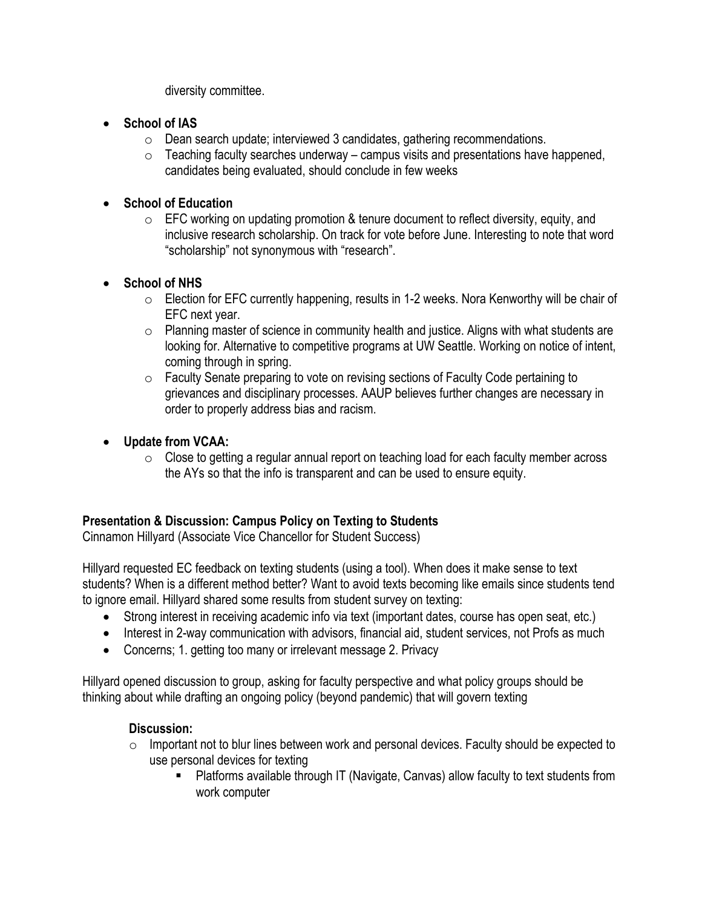diversity committee.

- **School of IAS**
	- o Dean search update; interviewed 3 candidates, gathering recommendations.
	- $\circ$  Teaching faculty searches underway campus visits and presentations have happened, candidates being evaluated, should conclude in few weeks
- **School of Education**
	- $\circ$  EFC working on updating promotion & tenure document to reflect diversity, equity, and inclusive research scholarship. On track for vote before June. Interesting to note that word "scholarship" not synonymous with "research".
- **School of NHS**
	- o Election for EFC currently happening, results in 1-2 weeks. Nora Kenworthy will be chair of EFC next year.
	- $\circ$  Planning master of science in community health and justice. Aligns with what students are looking for. Alternative to competitive programs at UW Seattle. Working on notice of intent, coming through in spring.
	- o Faculty Senate preparing to vote on revising sections of Faculty Code pertaining to grievances and disciplinary processes. AAUP believes further changes are necessary in order to properly address bias and racism.
- **Update from VCAA:**
	- $\circ$  Close to getting a regular annual report on teaching load for each faculty member across the AYs so that the info is transparent and can be used to ensure equity.

### **Presentation & Discussion: Campus Policy on Texting to Students**

Cinnamon Hillyard (Associate Vice Chancellor for Student Success)

Hillyard requested EC feedback on texting students (using a tool). When does it make sense to text students? When is a different method better? Want to avoid texts becoming like emails since students tend to ignore email. Hillyard shared some results from student survey on texting:

- Strong interest in receiving academic info via text (important dates, course has open seat, etc.)
- Interest in 2-way communication with advisors, financial aid, student services, not Profs as much
- Concerns; 1. getting too many or irrelevant message 2. Privacy

Hillyard opened discussion to group, asking for faculty perspective and what policy groups should be thinking about while drafting an ongoing policy (beyond pandemic) that will govern texting

### **Discussion:**

- $\circ$  Important not to blur lines between work and personal devices. Faculty should be expected to use personal devices for texting
	- Platforms available through IT (Navigate, Canvas) allow faculty to text students from work computer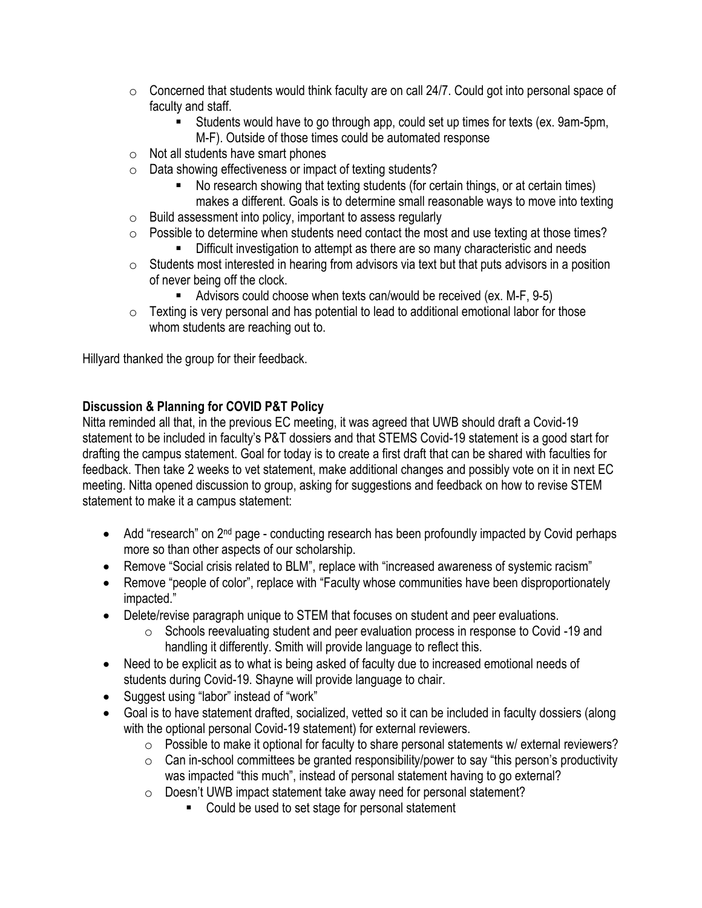- $\circ$  Concerned that students would think faculty are on call 24/7. Could got into personal space of faculty and staff.
	- Students would have to go through app, could set up times for texts (ex. 9am-5pm, M-F). Outside of those times could be automated response
- $\circ$  Not all students have smart phones
- o Data showing effectiveness or impact of texting students?
	- No research showing that texting students (for certain things, or at certain times) makes a different. Goals is to determine small reasonable ways to move into texting
- o Build assessment into policy, important to assess regularly
- o Possible to determine when students need contact the most and use texting at those times?
	- **EXED** Difficult investigation to attempt as there are so many characteristic and needs
- o Students most interested in hearing from advisors via text but that puts advisors in a position of never being off the clock.
	- Advisors could choose when texts can/would be received (ex. M-F, 9-5)
- $\circ$  Texting is very personal and has potential to lead to additional emotional labor for those whom students are reaching out to.

Hillyard thanked the group for their feedback.

### **Discussion & Planning for COVID P&T Policy**

Nitta reminded all that, in the previous EC meeting, it was agreed that UWB should draft a Covid-19 statement to be included in faculty's P&T dossiers and that STEMS Covid-19 statement is a good start for drafting the campus statement. Goal for today is to create a first draft that can be shared with faculties for feedback. Then take 2 weeks to vet statement, make additional changes and possibly vote on it in next EC meeting. Nitta opened discussion to group, asking for suggestions and feedback on how to revise STEM statement to make it a campus statement:

- Add "research" on 2<sup>nd</sup> page conducting research has been profoundly impacted by Covid perhaps more so than other aspects of our scholarship.
- Remove "Social crisis related to BLM", replace with "increased awareness of systemic racism"
- Remove "people of color", replace with "Faculty whose communities have been disproportionately impacted."
- Delete/revise paragraph unique to STEM that focuses on student and peer evaluations.
	- $\circ$  Schools reevaluating student and peer evaluation process in response to Covid -19 and handling it differently. Smith will provide language to reflect this.
- Need to be explicit as to what is being asked of faculty due to increased emotional needs of students during Covid-19. Shayne will provide language to chair.
- Suggest using "labor" instead of "work"
- Goal is to have statement drafted, socialized, vetted so it can be included in faculty dossiers (along with the optional personal Covid-19 statement) for external reviewers.
	- o Possible to make it optional for faculty to share personal statements w/ external reviewers?
	- $\circ$  Can in-school committees be granted responsibility/power to say "this person's productivity was impacted "this much", instead of personal statement having to go external?
	- o Doesn't UWB impact statement take away need for personal statement?
		- Could be used to set stage for personal statement